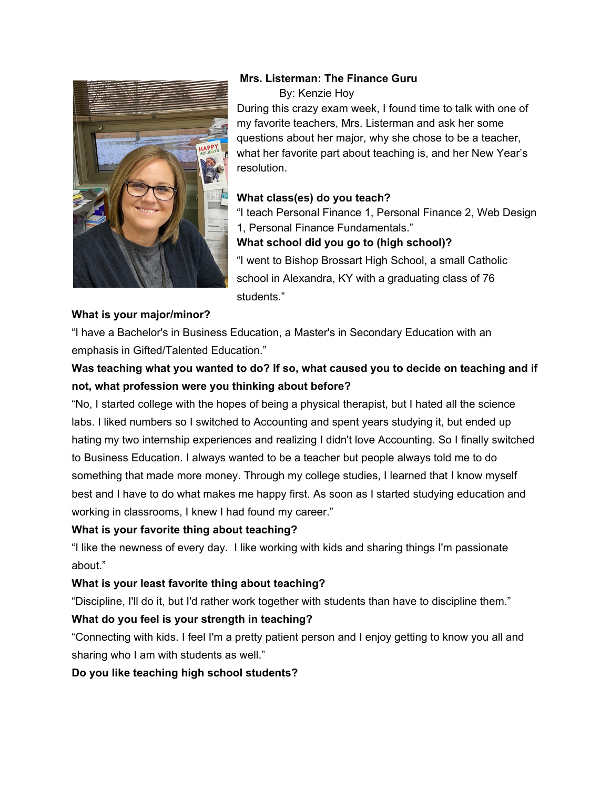

## **Mrs. Listerman: The Finance Guru**

By: Kenzie Hoy

During this crazy exam week, I found time to talk with one of my favorite teachers, Mrs. Listerman and ask her some questions about her major, why she chose to be a teacher, what her favorite part about teaching is, and her New Year's resolution.

## **What class(es) do you teach?**

"I teach Personal Finance 1, Personal Finance 2, Web Design 1, Personal Finance Fundamentals."

## **What school did you go to (high school)?**

"I went to Bishop Brossart High School, a small Catholic school in Alexandra, KY with a graduating class of 76 students."

### **What is your major/minor?**

"I have a Bachelor's in Business Education, a Master's in Secondary Education with an emphasis in Gifted/Talented Education."

# **Was teaching what you wanted to do? If so, what caused you to decide on teaching and if not, what profession were you thinking about before?**

"No, I started college with the hopes of being a physical therapist, but I hated all the science labs. I liked numbers so I switched to Accounting and spent years studying it, but ended up hating my two internship experiences and realizing I didn't love Accounting. So I finally switched to Business Education. I always wanted to be a teacher but people always told me to do something that made more money. Through my college studies, I learned that I know myself best and I have to do what makes me happy first. As soon as I started studying education and working in classrooms, I knew I had found my career."

### **What is your favorite thing about teaching?**

"I like the newness of every day. I like working with kids and sharing things I'm passionate about."

## **What is your least favorite thing about teaching?**

"Discipline, I'll do it, but I'd rather work together with students than have to discipline them."

### **What do you feel is your strength in teaching?**

"Connecting with kids. I feel I'm a pretty patient person and I enjoy getting to know you all and sharing who I am with students as well."

### **Do you like teaching high school students?**